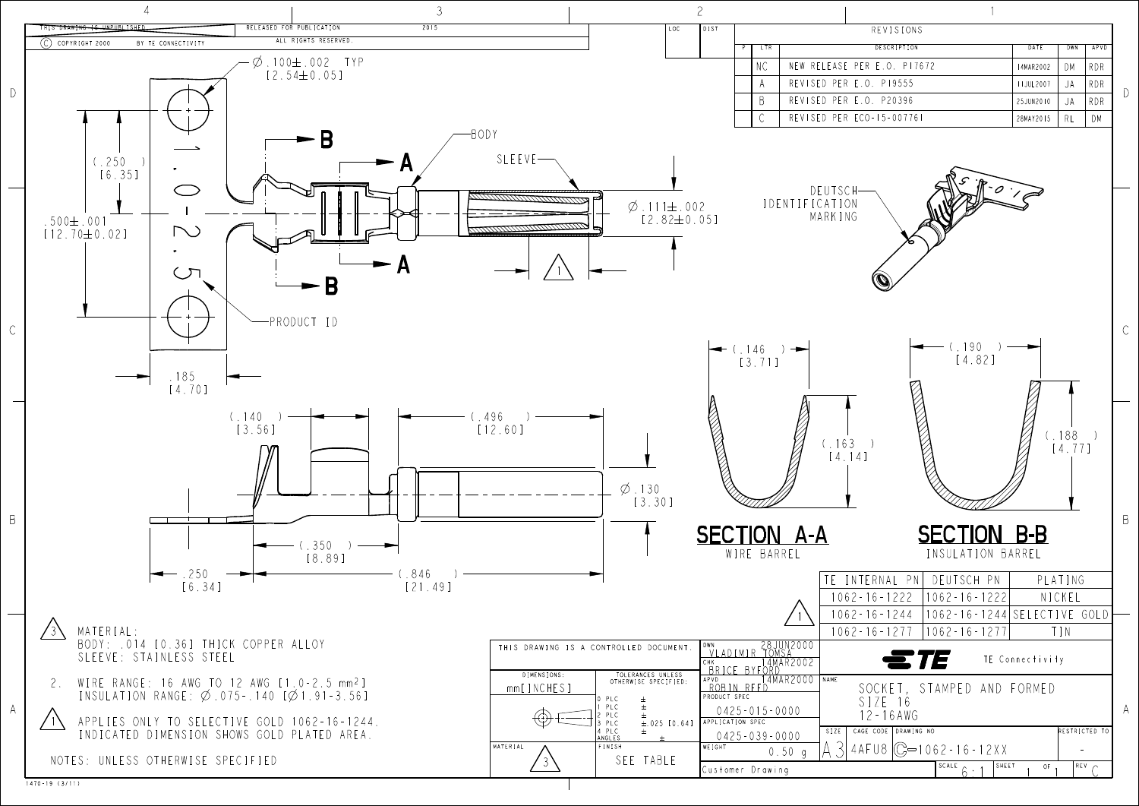1470-19 (3/11)

| <b>REVISIONS</b> |                  |     |            |
|------------------|------------------|-----|------------|
| DESCRIPTION      | DATE             | DWN | APVD       |
| ER E.O. PI7672   | 14MAR2002        | DМ  | RDR        |
| .O. PI9555       | <b>IIJUL2007</b> | JA  | <b>RDR</b> |
| .O. P20396       | 25JUN2010        | JA  | <b>RDR</b> |
| CO-15-007761     | 28MAY2015        | RL  | DМ         |

|             | FFRNAI PNI DFUTSCH PN           | PLATING                     |  |
|-------------|---------------------------------|-----------------------------|--|
|             | - 16 - 1222 - 11062 - 16 - 1222 | NICKEL                      |  |
| - 16 - 1244 |                                 | 1062-16-1244 SELECTIVE GOLD |  |
| - 16 - 1277 | $11062 - 16 - 12771$            | IN                          |  |
|             |                                 |                             |  |

| TE CONNECTIVITY                                          |                               |
|----------------------------------------------------------|-------------------------------|
| SOCKET, STAMPED AND FORMED<br>$SIZE$ 16<br>$12 - 16$ AWG |                               |
| AGE CODE   DRAWING NO                                    | RESTRICTED TO                 |
| $AFU8$ $\bigcirc$ $\bigcirc$ = 1062 - 16 - 12 X X        |                               |
| $SCALE \n\rightarrow 1$ SHEET                            | $REV \sim$<br>OF <sub>1</sub> |